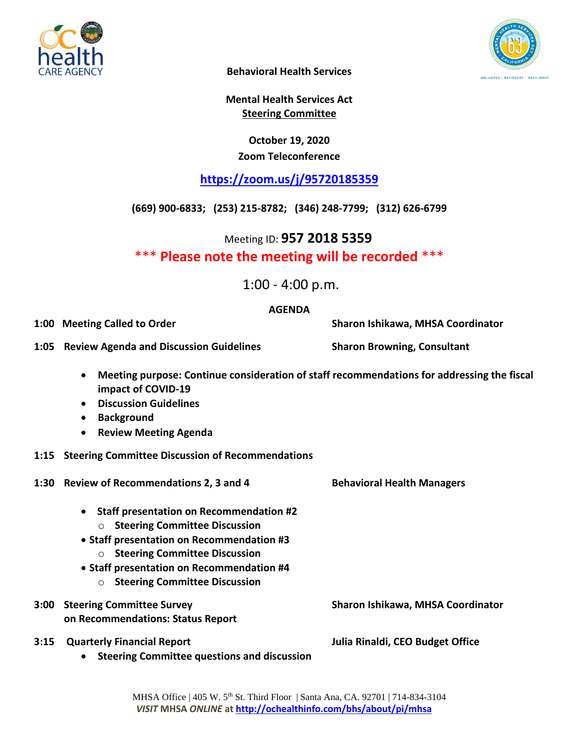



**Behavioral Health Services**

**Mental Health Services Act Steering Committee**

### **October 19, 2020 Zoom Teleconference**

## **<https://zoom.us/j/95720185359>**

**(669) 900-6833; (253) 215-8782; (346) 248-7799; (312) 626-6799**

Meeting ID: **957 2018 5359**

\*\*\* **Please note the meeting will be recorded** \*\*\*

1:00 - 4:00 p.m.

#### **AGENDA**

**1:00 Meeting Called to Order Sharon Ishikawa, MHSA Coordinator**

**1:05 Review Agenda and Discussion Guidelines Sharon Browning, Consultant**

- **Meeting purpose: Continue consideration of staff recommendations for addressing the fiscal impact of COVID-19**
- **Discussion Guidelines**
- **•** Background
- **Review Meeting Agenda**
- **1:15 Steering Committee Discussion of Recommendations**
- **1:30 Review of Recommendations 2, 3 and 4 Behavioral Health Managers**
	- **Staff presentation on Recommendation #2**
		- o **Steering Committee Discussion**
	- **Staff presentation on Recommendation #3**
		- o **Steering Committee Discussion**
	- **Staff presentation on Recommendation #4**
		- o **Steering Committee Discussion**
- **3:00 Steering Committee Survey Sharon Ishikawa, MHSA Coordinator on Recommendations: Status Report**
- **3:15 Quarterly Financial Report Julia Rinaldi, CEO Budget Office**
	- **Steering Committee questions and discussion**